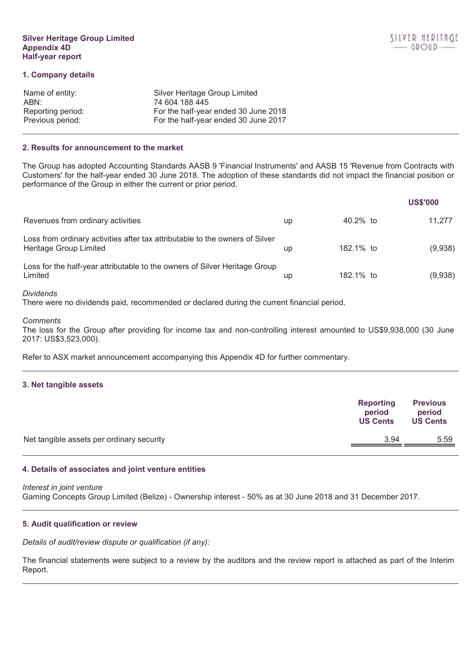# 1. Company details

| Name of entity:   | Silver Heritage Group Limited        |
|-------------------|--------------------------------------|
| ABN:              | 74 604 188 445                       |
| Reporting period: | For the half-year ended 30 June 2018 |
| Previous period:  | For the half-year ended 30 June 2017 |

## 2. Results for announcement to the market

The Group has adopted Accounting Standards AASB 9 'Financial Instruments' and AASB 15 'Revenue from Contracts with Customers' for the half-year ended 30 June 2018. The adoption of these standards did not impact the financial position or performance of the Group in either the current or prior period.

|                                                                                                        |    |           | <b>US\$'000</b> |
|--------------------------------------------------------------------------------------------------------|----|-----------|-----------------|
| Revenues from ordinary activities                                                                      | up | 40.2% to  | 11.277          |
| Loss from ordinary activities after tax attributable to the owners of Silver<br>Heritage Group Limited | up | 182.1% to | (9,938)         |
| Loss for the half-year attributable to the owners of Silver Heritage Group<br>Limited                  | up | 182.1% to | (9,938)         |

## **Dividends**

There were no dividends paid, recommended or declared during the current financial period.

Comments

The loss for the Group after providing for income tax and non-controlling interest amounted to US\$9,938,000 (30 June 2017: US\$3,523,000).

Refer to ASX market announcement accompanying this Appendix 4D for further commentary.

# 3. Net tangible assets

|                                           | Reporting<br>period<br><b>US Cents</b> | <b>Previous</b><br>period<br><b>US Cents</b> |
|-------------------------------------------|----------------------------------------|----------------------------------------------|
| Net tangible assets per ordinary security | 3.94                                   | 5.59                                         |

# 4. Details of associates and joint venture entities

Interest in joint venture

Gaming Concepts Group Limited (Belize) - Ownership interest - 50% as at 30 June 2018 and 31 December 2017.

## 5. Audit qualification or review

Details of audit/review dispute or qualification (if any):

The financial statements were subject to a review by the auditors and the review report is attached as part of the Interim Report.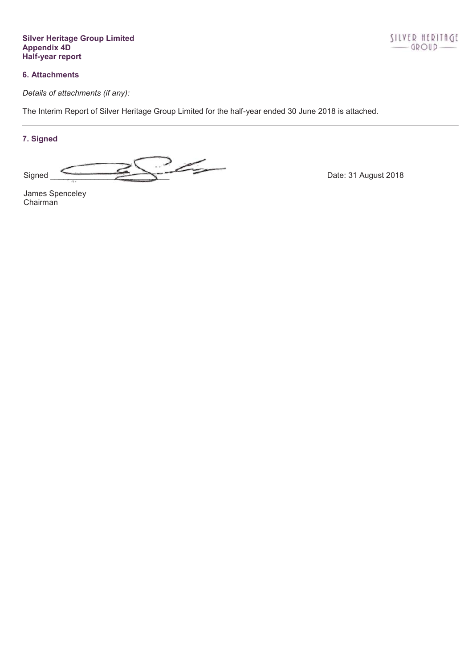**Silver Heritage Group Limited** Appendix 4D<br>Half-year report

# **6. Attachments**

Details of attachments (if any):

The Interim Report of Silver Heritage Group Limited for the half-year ended 30 June 2018 is attached.

# 7. Signed

 $324$ Signed

Date: 31 August 2018

James Spenceley Chairman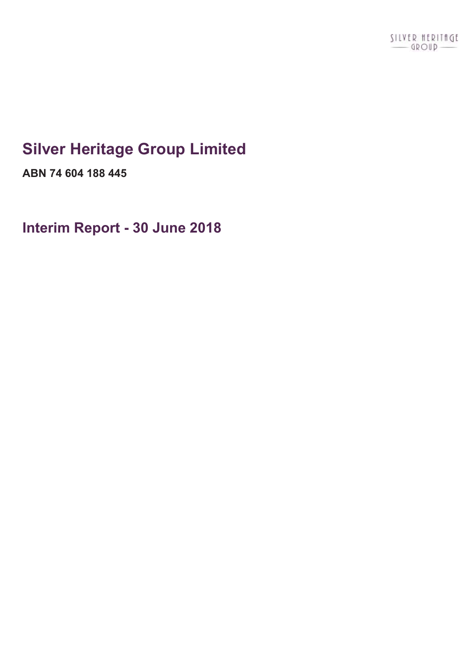# **Silver Heritage Group Limited**

**ABN 74 604 188 445**

**Interim Report - 30 June 2018**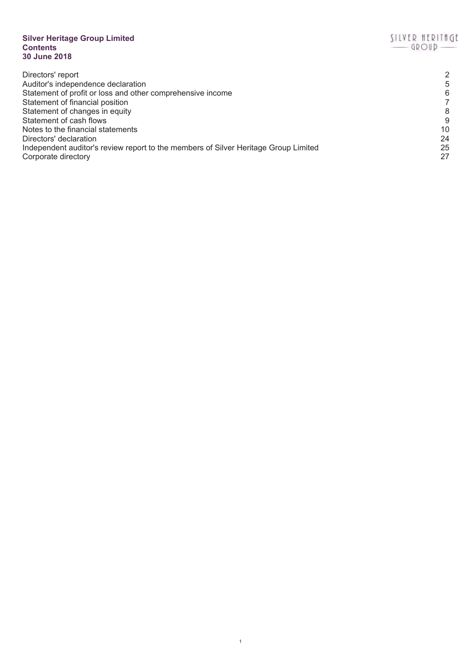# **Silver Heritage Group Limited Contents 30 June 2018**

| 2  |
|----|
| 5  |
| 6  |
|    |
| 8  |
| 9  |
| 10 |
| 24 |
| 25 |
| 27 |
|    |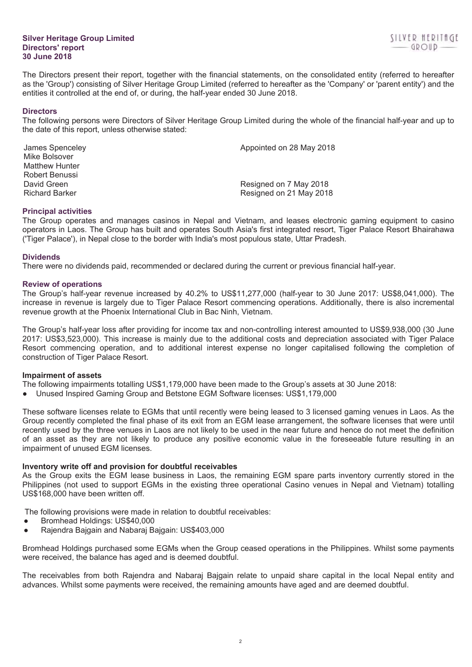## **Silver Heritage Group Limited Directors' report 30 June 2018**

The Directors present their report, together with the financial statements, on the consolidated entity (referred to hereafter as the 'Group') consisting of Silver Heritage Group Limited (referred to hereafter as the 'Company' or 'parent entity') and the entities it controlled at the end of, or during, the half-year ended 30 June 2018.

## **Directors**

The following persons were Directors of Silver Heritage Group Limited during the whole of the financial half-year and up to the date of this report, unless otherwise stated:

James Spenceley **Appointed on 28 May 2018** Mike Bolsover Matthew Hunter Robert Benussi David Green **David Green Resigned on 7 May 2018** Richard Barker Resigned on 21 May 2018

# **Principal activities**

The Group operates and manages casinos in Nepal and Vietnam, and leases electronic gaming equipment to casino operators in Laos. The Group has built and operates South Asia's first integrated resort, Tiger Palace Resort Bhairahawa ('Tiger Palace'), in Nepal close to the border with India's most populous state, Uttar Pradesh.

# **Dividends**

There were no dividends paid, recommended or declared during the current or previous financial half-year.

# **Review of operations**

The Group's half-year revenue increased by 40.2% to US\$11,277,000 (half-year to 30 June 2017: US\$8,041,000). The increase in revenue is largely due to Tiger Palace Resort commencing operations. Additionally, there is also incremental revenue growth at the Phoenix International Club in Bac Ninh, Vietnam.

The Group's half-year loss after providing for income tax and non-controlling interest amounted to US\$9,938,000 (30 June 2017: US\$3,523,000). This increase is mainly due to the additional costs and depreciation associated with Tiger Palace Resort commencing operation, and to additional interest expense no longer capitalised following the completion of construction of Tiger Palace Resort.

# **Impairment of assets**

The following impairments totalling US\$1,179,000 have been made to the Group's assets at 30 June 2018:

● Unused Inspired Gaming Group and Betstone EGM Software licenses: US\$1,179,000

These software licenses relate to EGMs that until recently were being leased to 3 licensed gaming venues in Laos. As the Group recently completed the final phase of its exit from an EGM lease arrangement, the software licenses that were until recently used by the three venues in Laos are not likely to be used in the near future and hence do not meet the definition of an asset as they are not likely to produce any positive economic value in the foreseeable future resulting in an impairment of unused EGM licenses.

# **Inventory write off and provision for doubtful receivables**

As the Group exits the EGM lease business in Laos, the remaining EGM spare parts inventory currently stored in the Philippines (not used to support EGMs in the existing three operational Casino venues in Nepal and Vietnam) totalling US\$168,000 have been written off.

The following provisions were made in relation to doubtful receivables:

- Bromhead Holdings: US\$40,000
- Rajendra Bajgain and Nabaraj Bajgain: US\$403,000

Bromhead Holdings purchased some EGMs when the Group ceased operations in the Philippines. Whilst some payments were received, the balance has aged and is deemed doubtful.

The receivables from both Rajendra and Nabaraj Bajgain relate to unpaid share capital in the local Nepal entity and advances. Whilst some payments were received, the remaining amounts have aged and are deemed doubtful.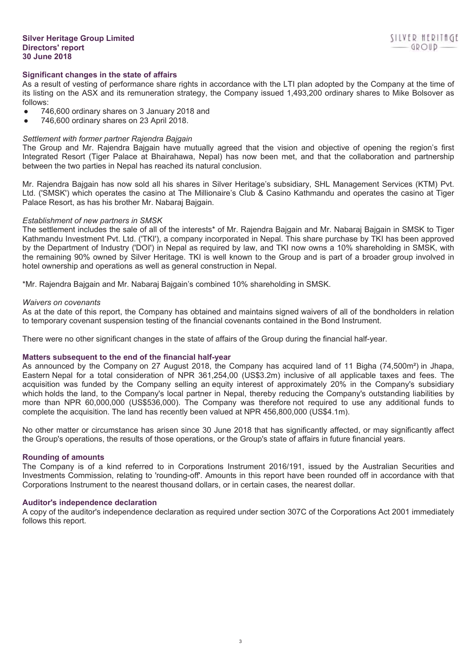# **Significant changes in the state of affairs**

As a result of vesting of performance share rights in accordance with the LTI plan adopted by the Company at the time of its listing on the ASX and its remuneration strategy, the Company issued 1,493,200 ordinary shares to Mike Bolsover as follows:

- 746,600 ordinary shares on 3 January 2018 and
- 746,600 ordinary shares on 23 April 2018.

## *Settlement with former partner Rajendra Bajgain*

The Group and Mr. Rajendra Bajgain have mutually agreed that the vision and objective of opening the region's first Integrated Resort (Tiger Palace at Bhairahawa, Nepal) has now been met, and that the collaboration and partnership between the two parties in Nepal has reached its natural conclusion.

Mr. Rajendra Bajgain has now sold all his shares in Silver Heritage's subsidiary, SHL Management Services (KTM) Pvt. Ltd. ('SMSK') which operates the casino at The Millionaire's Club & Casino Kathmandu and operates the casino at Tiger Palace Resort, as has his brother Mr. Nabaraj Bajgain.

## *Establishment of new partners in SMSK*

The settlement includes the sale of all of the interests\* of Mr. Rajendra Bajgain and Mr. Nabaraj Bajgain in SMSK to Tiger Kathmandu Investment Pvt. Ltd. ('TKI'), a company incorporated in Nepal. This share purchase by TKI has been approved by the Department of Industry ('DOI') in Nepal as required by law, and TKI now owns a 10% shareholding in SMSK, with the remaining 90% owned by Silver Heritage. TKI is well known to the Group and is part of a broader group involved in hotel ownership and operations as well as general construction in Nepal.

\*Mr. Rajendra Bajgain and Mr. Nabaraj Bajgain's combined 10% shareholding in SMSK.

## *Waivers on covenants*

As at the date of this report, the Company has obtained and maintains signed waivers of all of the bondholders in relation to temporary covenant suspension testing of the financial covenants contained in the Bond Instrument.

There were no other significant changes in the state of affairs of the Group during the financial half-year.

## **Matters subsequent to the end of the financial half-year**

As announced by the Company on 27 August 2018, the Company has acquired land of 11 Bigha (74,500m²) in Jhapa, Eastern Nepal for a total consideration of NPR 361,254,00 (US\$3.2m) inclusive of all applicable taxes and fees. The acquisition was funded by the Company selling an equity interest of approximately 20% in the Company's subsidiary which holds the land, to the Company's local partner in Nepal, thereby reducing the Company's outstanding liabilities by more than NPR 60,000,000 (US\$536,000). The Company was therefore not required to use any additional funds to complete the acquisition. The land has recently been valued at NPR 456,800,000 (US\$4.1m).

No other matter or circumstance has arisen since 30 June 2018 that has significantly affected, or may significantly affect the Group's operations, the results of those operations, or the Group's state of affairs in future financial years.

## **Rounding of amounts**

The Company is of a kind referred to in Corporations Instrument 2016/191, issued by the Australian Securities and Investments Commission, relating to 'rounding-off'. Amounts in this report have been rounded off in accordance with that Corporations Instrument to the nearest thousand dollars, or in certain cases, the nearest dollar.

## **Auditor's independence declaration**

A copy of the auditor's independence declaration as required under section 307C of the Corporations Act 2001 immediately follows this report.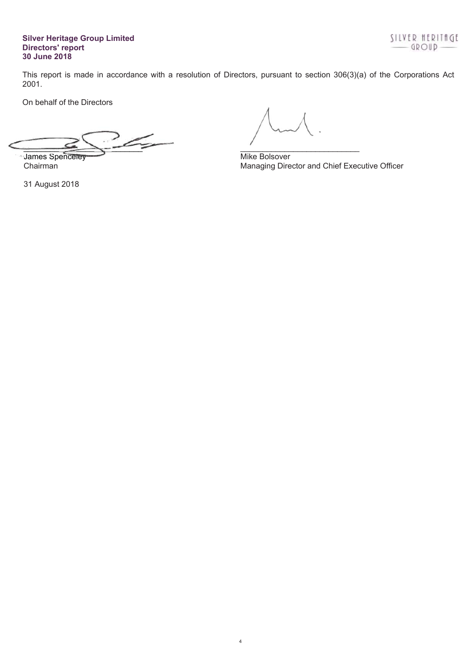# **Silver Heritage Group Limited Directors' report 30 June 2018**

This report is made in accordance with a resolution of Directors, pursuant to section 306(3)(a) of the Corporations Act 2001.

4

On behalf of the Directors

 $\leq$ James Spenceley **Mike Bolsover** Mike Bolsover  $\longrightarrow$ 

31 August 2018

Chairman Managing Director and Chief Executive Officer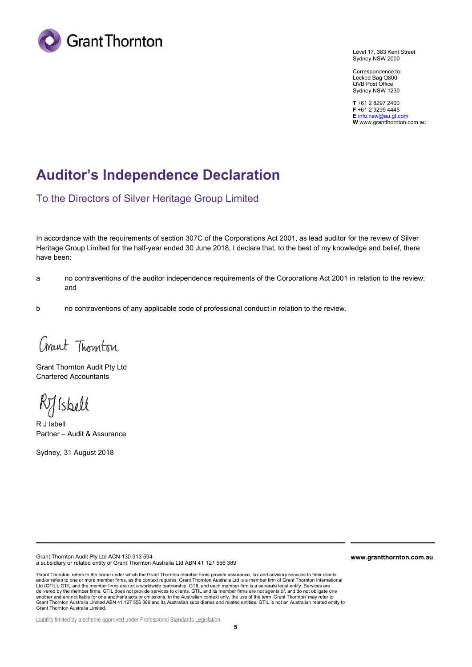

Level 17, 383 Kent Street Sydney NSW 2000

Correspondence to: Locked Bag Q800 QVB Post Office Sydney NSW 1230

**T** +61 2 8297 2400 **F** +61 2 9299 4445 **E** info.nsw@au.gt.com **W** www.grantthornton.com.au

# **Auditor's Independence Declaration**

To the Directors of Silver Heritage Group Limited

In accordance with the requirements of section 307C of the Corporations Act 2001, as lead auditor for the review of Silver Heritage Group Limited for the half-year ended 30 June 2018, I declare that, to the best of my knowledge and belief, there have been:

- a no contraventions of the auditor independence requirements of the Corporations Act 2001 in relation to the review; and
- b no contraventions of any applicable code of professional conduct in relation to the review.

Crant Thomton

Grant Thornton Audit Pty Ltd Chartered Accountants

Rilsbell

R J Isbell Partner – Audit & Assurance

Sydney, 31 August 2018

Grant Thornton Audit Pty Ltd ACN 130 913 594 a subsidiary or related entity of Grant Thornton Australia Ltd ABN 41 127 556 389

'Grant Thornton' refers to the brand under which the Grant Thornton member firms provide assurance, tax and advisory services to their clients and/or refers to one or more member firms, as the context requires. Grant Thornton Australia Ltd is a member firm of Grant Thornton International Ltd (GTIL). GTIL and the member firms are not a worldwide partnership. GTIL and each member firm is a separate legal entity. Services are delivered by the member firms. GTIL does not provide services to clients. GTIL and its member firms are not agents of, and do not obligate one another and are not liable for one another's acts or omissions. In the Australian context only, the use of the term 'Grant Thornton' may refer to<br>Grant Thornton Australia Limited ABN 41 127 556 389 and its Australian subsi Grant Thornton Australia Limited.

**www.grantthornton.com.au**

Liability limited by a scheme approved under Professional Standards Legislation.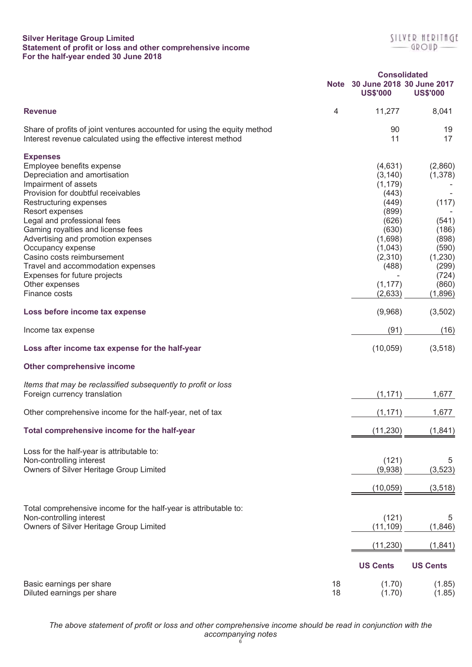# **Silver Heritage Group Limited Statement of profit or loss and other comprehensive income For the half-year ended 30 June 2018**

|                                                                                                                                                                                                                                                                                                                                                                                                                                                               |          | <b>Consolidated</b>                                                                                                                           |                                                                                                                  |
|---------------------------------------------------------------------------------------------------------------------------------------------------------------------------------------------------------------------------------------------------------------------------------------------------------------------------------------------------------------------------------------------------------------------------------------------------------------|----------|-----------------------------------------------------------------------------------------------------------------------------------------------|------------------------------------------------------------------------------------------------------------------|
|                                                                                                                                                                                                                                                                                                                                                                                                                                                               |          | Note 30 June 2018 30 June 2017<br><b>US\$'000</b>                                                                                             | <b>US\$'000</b>                                                                                                  |
| <b>Revenue</b>                                                                                                                                                                                                                                                                                                                                                                                                                                                | 4        | 11,277                                                                                                                                        | 8,041                                                                                                            |
| Share of profits of joint ventures accounted for using the equity method<br>Interest revenue calculated using the effective interest method                                                                                                                                                                                                                                                                                                                   |          | 90<br>11                                                                                                                                      | 19<br>17                                                                                                         |
| <b>Expenses</b><br>Employee benefits expense<br>Depreciation and amortisation<br>Impairment of assets<br>Provision for doubtful receivables<br>Restructuring expenses<br>Resort expenses<br>Legal and professional fees<br>Gaming royalties and license fees<br>Advertising and promotion expenses<br>Occupancy expense<br>Casino costs reimbursement<br>Travel and accommodation expenses<br>Expenses for future projects<br>Other expenses<br>Finance costs |          | (4,631)<br>(3, 140)<br>(1, 179)<br>(443)<br>(449)<br>(899)<br>(626)<br>(630)<br>(1,698)<br>(1,043)<br>(2,310)<br>(488)<br>(1, 177)<br>(2,633) | (2,860)<br>(1,378)<br>(117)<br>(541)<br>(186)<br>(898)<br>(590)<br>(1,230)<br>(299)<br>(724)<br>(860)<br>(1,896) |
| Loss before income tax expense                                                                                                                                                                                                                                                                                                                                                                                                                                |          | (9,968)                                                                                                                                       | (3,502)                                                                                                          |
| Income tax expense                                                                                                                                                                                                                                                                                                                                                                                                                                            |          | (91)                                                                                                                                          | (16)                                                                                                             |
| Loss after income tax expense for the half-year                                                                                                                                                                                                                                                                                                                                                                                                               |          | (10, 059)                                                                                                                                     | (3,518)                                                                                                          |
| Other comprehensive income                                                                                                                                                                                                                                                                                                                                                                                                                                    |          |                                                                                                                                               |                                                                                                                  |
| Items that may be reclassified subsequently to profit or loss<br>Foreign currency translation                                                                                                                                                                                                                                                                                                                                                                 |          | (1, 171)                                                                                                                                      | 1,677                                                                                                            |
| Other comprehensive income for the half-year, net of tax                                                                                                                                                                                                                                                                                                                                                                                                      |          | (1, 171)                                                                                                                                      | 1,677                                                                                                            |
| Total comprehensive income for the half-year                                                                                                                                                                                                                                                                                                                                                                                                                  |          | (11, 230)                                                                                                                                     | (1, 841)                                                                                                         |
| Loss for the half-year is attributable to:<br>Non-controlling interest<br>Owners of Silver Heritage Group Limited                                                                                                                                                                                                                                                                                                                                             |          | (121)<br>(9,938)<br>(10, 059)                                                                                                                 | 5<br>(3, 523)<br>(3, 518)                                                                                        |
| Total comprehensive income for the half-year is attributable to:<br>Non-controlling interest<br>Owners of Silver Heritage Group Limited                                                                                                                                                                                                                                                                                                                       |          | (121)<br>(11, 109)                                                                                                                            | b.<br>(1,846)                                                                                                    |
|                                                                                                                                                                                                                                                                                                                                                                                                                                                               |          | (11, 230)<br><b>US Cents</b>                                                                                                                  | (1, 841)<br><b>US Cents</b>                                                                                      |
| Basic earnings per share<br>Diluted earnings per share                                                                                                                                                                                                                                                                                                                                                                                                        | 18<br>18 | (1.70)<br>(1.70)                                                                                                                              | (1.85)<br>(1.85)                                                                                                 |

*The above statement of profit or loss and other comprehensive income should be read in conjunction with the accompanying notes* 6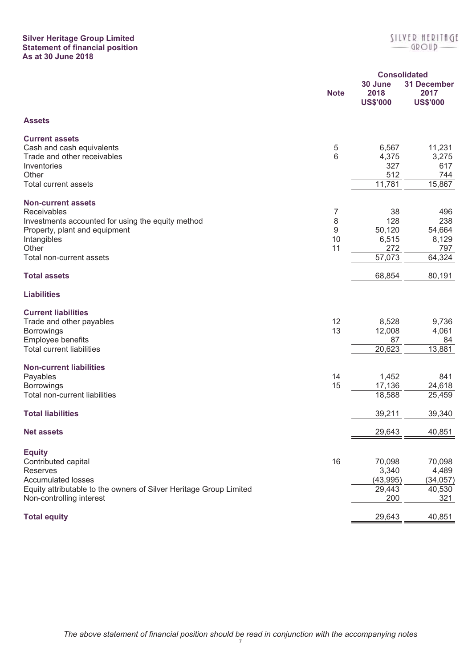# **Silver Heritage Group Limited Statement of financial position As at 30 June 2018**

|                                                                                                                                                                                    |                         |                                               | <b>Consolidated</b>                            |
|------------------------------------------------------------------------------------------------------------------------------------------------------------------------------------|-------------------------|-----------------------------------------------|------------------------------------------------|
|                                                                                                                                                                                    | <b>Note</b>             | 30 June<br>2018<br><b>US\$'000</b>            | <b>31 December</b><br>2017<br><b>US\$'000</b>  |
| <b>Assets</b>                                                                                                                                                                      |                         |                                               |                                                |
| <b>Current assets</b><br>Cash and cash equivalents<br>Trade and other receivables<br>Inventories<br>Other<br><b>Total current assets</b>                                           | 5<br>$6\phantom{1}6$    | 6,567<br>4,375<br>327<br>512<br>11,781        | 11,231<br>3,275<br>617<br>744<br>15,867        |
| <b>Non-current assets</b><br>Receivables<br>Investments accounted for using the equity method<br>Property, plant and equipment<br>Intangibles<br>Other<br>Total non-current assets | 7<br>8<br>9<br>10<br>11 | 38<br>128<br>50,120<br>6,515<br>272<br>57,073 | 496<br>238<br>54,664<br>8,129<br>797<br>64,324 |
| <b>Total assets</b>                                                                                                                                                                |                         | 68,854                                        | 80,191                                         |
| <b>Liabilities</b>                                                                                                                                                                 |                         |                                               |                                                |
| <b>Current liabilities</b><br>Trade and other payables<br><b>Borrowings</b><br>Employee benefits<br><b>Total current liabilities</b>                                               | 12<br>13                | 8,528<br>12,008<br>87<br>20,623               | 9,736<br>4,061<br>84<br>13,881                 |
| <b>Non-current liabilities</b><br>Payables<br><b>Borrowings</b><br><b>Total non-current liabilities</b>                                                                            | 14<br>15                | 1,452<br>17,136<br>18,588                     | 841<br>24,618<br>25,459                        |
| <b>Total liabilities</b>                                                                                                                                                           |                         | 39,211                                        | 39,340                                         |
| <b>Net assets</b>                                                                                                                                                                  |                         | 29,643                                        | 40,851                                         |
| <b>Equity</b><br>Contributed capital<br>Reserves<br><b>Accumulated losses</b><br>Equity attributable to the owners of Silver Heritage Group Limited<br>Non-controlling interest    | 16                      | 70,098<br>3,340<br>(43,995)<br>29,443<br>200  | 70,098<br>4,489<br>(34, 057)<br>40,530<br>321  |
| <b>Total equity</b>                                                                                                                                                                |                         | 29,643                                        | 40,851                                         |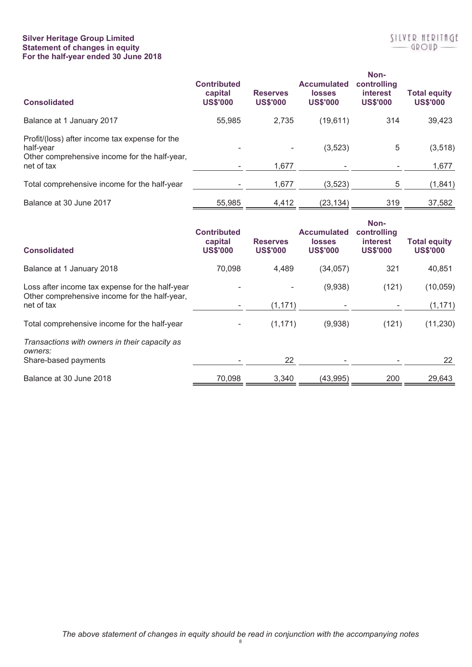# **Silver Heritage Group Limited Statement of changes in equity For the half-year ended 30 June 2018**

| <b>Consolidated</b>                                                                                          | <b>Contributed</b><br>capital<br><b>US\$'000</b> | <b>Reserves</b><br><b>US\$'000</b> | <b>Accumulated</b><br><b>losses</b><br><b>US\$'000</b> | Non-<br>controlling<br><i>interest</i><br><b>US\$'000</b> | <b>Total equity</b><br><b>US\$'000</b> |
|--------------------------------------------------------------------------------------------------------------|--------------------------------------------------|------------------------------------|--------------------------------------------------------|-----------------------------------------------------------|----------------------------------------|
| Balance at 1 January 2017                                                                                    | 55,985                                           | 2,735                              | (19, 611)                                              | 314                                                       | 39,423                                 |
| Profit/(loss) after income tax expense for the<br>half-year<br>Other comprehensive income for the half-year, |                                                  | $\overline{\phantom{0}}$           | (3,523)                                                | 5                                                         | (3, 518)                               |
| net of tax                                                                                                   |                                                  | 1,677                              |                                                        |                                                           | 1,677                                  |
| Total comprehensive income for the half-year                                                                 |                                                  | 1,677                              | (3,523)                                                | 5                                                         | (1, 841)                               |
| Balance at 30 June 2017                                                                                      | 55.985                                           | 4,412                              | (23, 134)                                              | 319                                                       | 37,582                                 |

| <b>Consolidated</b>                                                                                            | <b>Contributed</b><br>capital<br><b>US\$'000</b> | <b>Reserves</b><br><b>US\$'000</b> | <b>Accumulated</b><br><b>losses</b><br><b>US\$'000</b> | Non-<br>controlling<br>interest<br><b>US\$'000</b> | <b>Total equity</b><br><b>US\$'000</b> |
|----------------------------------------------------------------------------------------------------------------|--------------------------------------------------|------------------------------------|--------------------------------------------------------|----------------------------------------------------|----------------------------------------|
| Balance at 1 January 2018                                                                                      | 70,098                                           | 4,489                              | (34, 057)                                              | 321                                                | 40,851                                 |
| Loss after income tax expense for the half-year<br>Other comprehensive income for the half-year,<br>net of tax |                                                  |                                    | (9,938)                                                | (121)                                              | (10, 059)                              |
|                                                                                                                |                                                  | (1, 171)                           |                                                        |                                                    | (1, 171)                               |
| Total comprehensive income for the half-year                                                                   |                                                  | (1, 171)                           | (9,938)                                                | (121)                                              | (11, 230)                              |
| Transactions with owners in their capacity as<br>owners:                                                       |                                                  |                                    |                                                        |                                                    |                                        |
| Share-based payments                                                                                           |                                                  | 22                                 |                                                        |                                                    | 22                                     |
| Balance at 30 June 2018                                                                                        | 70,098                                           | 3,340                              | (43, 995)                                              | 200                                                | 29,643                                 |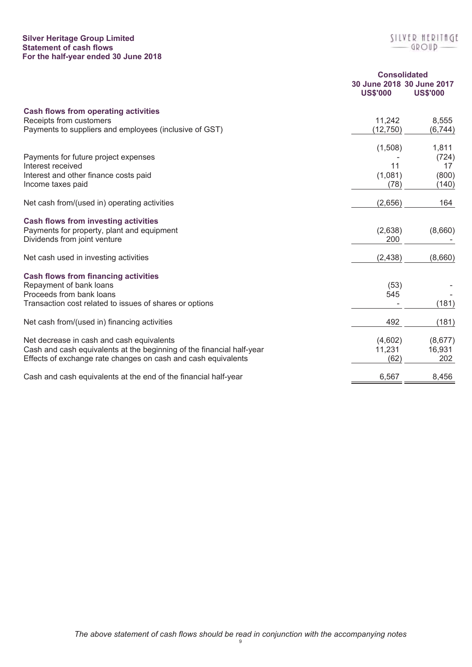# **Silver Heritage Group Limited Statement of cash flows For the half-year ended 30 June 2018**

|                                                                       | <b>Consolidated</b>                          |                 |  |
|-----------------------------------------------------------------------|----------------------------------------------|-----------------|--|
|                                                                       | 30 June 2018 30 June 2017<br><b>US\$'000</b> | <b>US\$'000</b> |  |
| <b>Cash flows from operating activities</b>                           |                                              |                 |  |
| Receipts from customers                                               | 11,242                                       | 8,555           |  |
| Payments to suppliers and employees (inclusive of GST)                | (12, 750)                                    | (6, 744)        |  |
|                                                                       | (1,508)                                      | 1,811           |  |
| Payments for future project expenses                                  |                                              | (724)           |  |
| Interest received                                                     | 11                                           | 17              |  |
| Interest and other finance costs paid                                 | (1,081)                                      | (800)           |  |
| Income taxes paid                                                     | (78)                                         | (140)           |  |
| Net cash from/(used in) operating activities                          | (2,656)                                      | 164             |  |
| <b>Cash flows from investing activities</b>                           |                                              |                 |  |
| Payments for property, plant and equipment                            | (2,638)                                      | (8,660)         |  |
| Dividends from joint venture                                          | 200                                          |                 |  |
| Net cash used in investing activities                                 | (2, 438)                                     | (8,660)         |  |
| <b>Cash flows from financing activities</b>                           |                                              |                 |  |
| Repayment of bank loans                                               | (53)                                         |                 |  |
| Proceeds from bank loans                                              | 545                                          |                 |  |
| Transaction cost related to issues of shares or options               |                                              | (181)           |  |
| Net cash from/(used in) financing activities                          | 492                                          | (181)           |  |
| Net decrease in cash and cash equivalents                             | (4,602)                                      | (8,677)         |  |
| Cash and cash equivalents at the beginning of the financial half-year | 11,231                                       | 16,931          |  |
| Effects of exchange rate changes on cash and cash equivalents         | (62)                                         | 202             |  |
| Cash and cash equivalents at the end of the financial half-year       | 6,567                                        | 8,456           |  |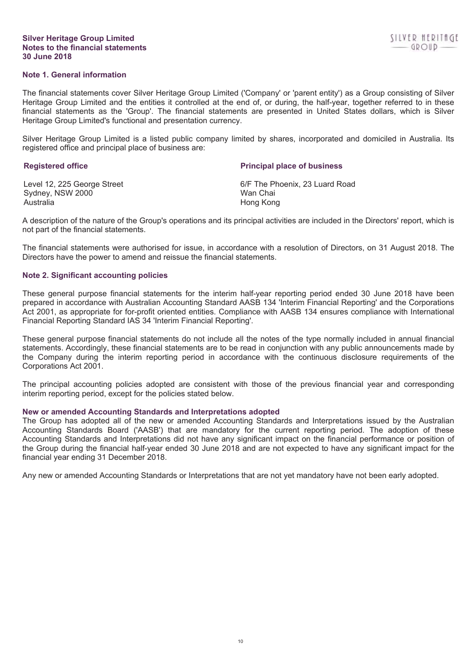## **Silver Heritage Group Limited Notes to the financial statements 30 June 2018**

# **Note 1. General information**

The financial statements cover Silver Heritage Group Limited ('Company' or 'parent entity') as a Group consisting of Silver Heritage Group Limited and the entities it controlled at the end of, or during, the half-year, together referred to in these financial statements as the 'Group'. The financial statements are presented in United States dollars, which is Silver Heritage Group Limited's functional and presentation currency.

Silver Heritage Group Limited is a listed public company limited by shares, incorporated and domiciled in Australia. Its registered office and principal place of business are:

| <b>Registered office</b>    | <b>Principal place of business</b> |
|-----------------------------|------------------------------------|
| Level 12, 225 George Street | 6/F The Phoenix, 23 Luard Road     |
| Sydney, NSW 2000            | Wan Chai                           |
| Australia                   | Hong Kong                          |

A description of the nature of the Group's operations and its principal activities are included in the Directors' report, which is not part of the financial statements.

The financial statements were authorised for issue, in accordance with a resolution of Directors, on 31 August 2018. The Directors have the power to amend and reissue the financial statements.

## **Note 2. Significant accounting policies**

These general purpose financial statements for the interim half-year reporting period ended 30 June 2018 have been prepared in accordance with Australian Accounting Standard AASB 134 'Interim Financial Reporting' and the Corporations Act 2001, as appropriate for for-profit oriented entities. Compliance with AASB 134 ensures compliance with International Financial Reporting Standard IAS 34 'Interim Financial Reporting'.

These general purpose financial statements do not include all the notes of the type normally included in annual financial statements. Accordingly, these financial statements are to be read in conjunction with any public announcements made by the Company during the interim reporting period in accordance with the continuous disclosure requirements of the Corporations Act 2001.

The principal accounting policies adopted are consistent with those of the previous financial year and corresponding interim reporting period, except for the policies stated below.

# **New or amended Accounting Standards and Interpretations adopted**

The Group has adopted all of the new or amended Accounting Standards and Interpretations issued by the Australian Accounting Standards Board ('AASB') that are mandatory for the current reporting period. The adoption of these Accounting Standards and Interpretations did not have any significant impact on the financial performance or position of the Group during the financial half-year ended 30 June 2018 and are not expected to have any significant impact for the financial year ending 31 December 2018.

Any new or amended Accounting Standards or Interpretations that are not yet mandatory have not been early adopted.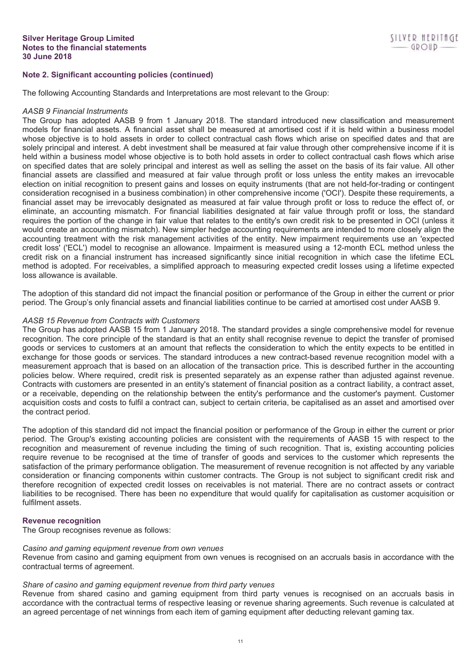# **Note 2. Significant accounting policies (continued)**

The following Accounting Standards and Interpretations are most relevant to the Group:

#### *AASB 9 Financial Instruments*

The Group has adopted AASB 9 from 1 January 2018. The standard introduced new classification and measurement models for financial assets. A financial asset shall be measured at amortised cost if it is held within a business model whose objective is to hold assets in order to collect contractual cash flows which arise on specified dates and that are solely principal and interest. A debt investment shall be measured at fair value through other comprehensive income if it is held within a business model whose objective is to both hold assets in order to collect contractual cash flows which arise on specified dates that are solely principal and interest as well as selling the asset on the basis of its fair value. All other financial assets are classified and measured at fair value through profit or loss unless the entity makes an irrevocable election on initial recognition to present gains and losses on equity instruments (that are not held-for-trading or contingent consideration recognised in a business combination) in other comprehensive income ('OCI'). Despite these requirements, a financial asset may be irrevocably designated as measured at fair value through profit or loss to reduce the effect of, or eliminate, an accounting mismatch. For financial liabilities designated at fair value through profit or loss, the standard requires the portion of the change in fair value that relates to the entity's own credit risk to be presented in OCI (unless it would create an accounting mismatch). New simpler hedge accounting requirements are intended to more closely align the accounting treatment with the risk management activities of the entity. New impairment requirements use an 'expected credit loss' ('ECL') model to recognise an allowance. Impairment is measured using a 12-month ECL method unless the credit risk on a financial instrument has increased significantly since initial recognition in which case the lifetime ECL method is adopted. For receivables, a simplified approach to measuring expected credit losses using a lifetime expected loss allowance is available.

The adoption of this standard did not impact the financial position or performance of the Group in either the current or prior period. The Group's only financial assets and financial liabilities continue to be carried at amortised cost under AASB 9.

## *AASB 15 Revenue from Contracts with Customers*

The Group has adopted AASB 15 from 1 January 2018. The standard provides a single comprehensive model for revenue recognition. The core principle of the standard is that an entity shall recognise revenue to depict the transfer of promised goods or services to customers at an amount that reflects the consideration to which the entity expects to be entitled in exchange for those goods or services. The standard introduces a new contract-based revenue recognition model with a measurement approach that is based on an allocation of the transaction price. This is described further in the accounting policies below. Where required, credit risk is presented separately as an expense rather than adjusted against revenue. Contracts with customers are presented in an entity's statement of financial position as a contract liability, a contract asset, or a receivable, depending on the relationship between the entity's performance and the customer's payment. Customer acquisition costs and costs to fulfil a contract can, subject to certain criteria, be capitalised as an asset and amortised over the contract period.

The adoption of this standard did not impact the financial position or performance of the Group in either the current or prior period. The Group's existing accounting policies are consistent with the requirements of AASB 15 with respect to the recognition and measurement of revenue including the timing of such recognition. That is, existing accounting policies require revenue to be recognised at the time of transfer of goods and services to the customer which represents the satisfaction of the primary performance obligation. The measurement of revenue recognition is not affected by any variable consideration or financing components within customer contracts. The Group is not subject to significant credit risk and therefore recognition of expected credit losses on receivables is not material. There are no contract assets or contract liabilities to be recognised. There has been no expenditure that would qualify for capitalisation as customer acquisition or fulfilment assets.

## **Revenue recognition**

The Group recognises revenue as follows:

## *Casino and gaming equipment revenue from own venues*

Revenue from casino and gaming equipment from own venues is recognised on an accruals basis in accordance with the contractual terms of agreement.

## *Share of casino and gaming equipment revenue from third party venues*

Revenue from shared casino and gaming equipment from third party venues is recognised on an accruals basis in accordance with the contractual terms of respective leasing or revenue sharing agreements. Such revenue is calculated at an agreed percentage of net winnings from each item of gaming equipment after deducting relevant gaming tax.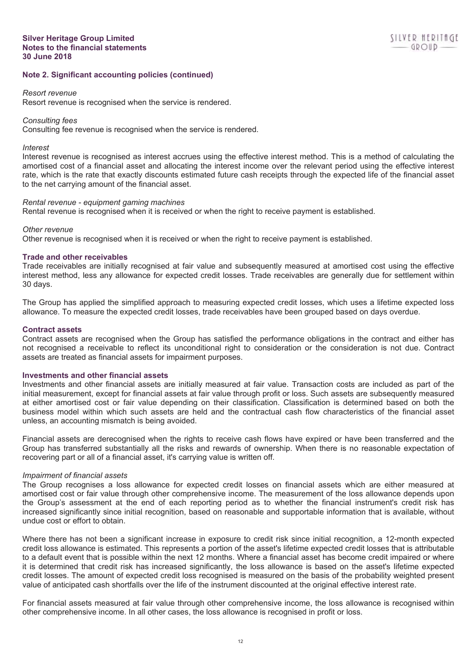# **Note 2. Significant accounting policies (continued)**

#### *Resort revenue*

Resort revenue is recognised when the service is rendered.

## *Consulting fees*

Consulting fee revenue is recognised when the service is rendered.

## *Interest*

Interest revenue is recognised as interest accrues using the effective interest method. This is a method of calculating the amortised cost of a financial asset and allocating the interest income over the relevant period using the effective interest rate, which is the rate that exactly discounts estimated future cash receipts through the expected life of the financial asset to the net carrying amount of the financial asset.

#### *Rental revenue - equipment gaming machines*

Rental revenue is recognised when it is received or when the right to receive payment is established.

## *Other revenue*

Other revenue is recognised when it is received or when the right to receive payment is established.

# **Trade and other receivables**

Trade receivables are initially recognised at fair value and subsequently measured at amortised cost using the effective interest method, less any allowance for expected credit losses. Trade receivables are generally due for settlement within 30 days.

The Group has applied the simplified approach to measuring expected credit losses, which uses a lifetime expected loss allowance. To measure the expected credit losses, trade receivables have been grouped based on days overdue.

## **Contract assets**

Contract assets are recognised when the Group has satisfied the performance obligations in the contract and either has not recognised a receivable to reflect its unconditional right to consideration or the consideration is not due. Contract assets are treated as financial assets for impairment purposes.

## **Investments and other financial assets**

Investments and other financial assets are initially measured at fair value. Transaction costs are included as part of the initial measurement, except for financial assets at fair value through profit or loss. Such assets are subsequently measured at either amortised cost or fair value depending on their classification. Classification is determined based on both the business model within which such assets are held and the contractual cash flow characteristics of the financial asset unless, an accounting mismatch is being avoided.

Financial assets are derecognised when the rights to receive cash flows have expired or have been transferred and the Group has transferred substantially all the risks and rewards of ownership. When there is no reasonable expectation of recovering part or all of a financial asset, it's carrying value is written off.

## *Impairment of financial assets*

The Group recognises a loss allowance for expected credit losses on financial assets which are either measured at amortised cost or fair value through other comprehensive income. The measurement of the loss allowance depends upon the Group's assessment at the end of each reporting period as to whether the financial instrument's credit risk has increased significantly since initial recognition, based on reasonable and supportable information that is available, without undue cost or effort to obtain.

Where there has not been a significant increase in exposure to credit risk since initial recognition, a 12-month expected credit loss allowance is estimated. This represents a portion of the asset's lifetime expected credit losses that is attributable to a default event that is possible within the next 12 months. Where a financial asset has become credit impaired or where it is determined that credit risk has increased significantly, the loss allowance is based on the asset's lifetime expected credit losses. The amount of expected credit loss recognised is measured on the basis of the probability weighted present value of anticipated cash shortfalls over the life of the instrument discounted at the original effective interest rate.

For financial assets measured at fair value through other comprehensive income, the loss allowance is recognised within other comprehensive income. In all other cases, the loss allowance is recognised in profit or loss.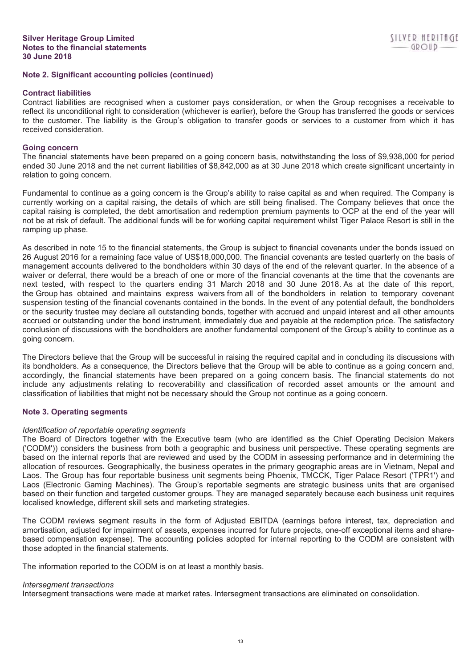# **Note 2. Significant accounting policies (continued)**

## **Contract liabilities**

Contract liabilities are recognised when a customer pays consideration, or when the Group recognises a receivable to reflect its unconditional right to consideration (whichever is earlier), before the Group has transferred the goods or services to the customer. The liability is the Group's obligation to transfer goods or services to a customer from which it has received consideration.

# **Going concern**

The financial statements have been prepared on a going concern basis, notwithstanding the loss of \$9,938,000 for period ended 30 June 2018 and the net current liabilities of \$8,842,000 as at 30 June 2018 which create significant uncertainty in relation to going concern.

Fundamental to continue as a going concern is the Group's ability to raise capital as and when required. The Company is currently working on a capital raising, the details of which are still being finalised. The Company believes that once the capital raising is completed, the debt amortisation and redemption premium payments to OCP at the end of the year will not be at risk of default. The additional funds will be for working capital requirement whilst Tiger Palace Resort is still in the ramping up phase.

As described in note 15 to the financial statements, the Group is subject to financial covenants under the bonds issued on 26 August 2016 for a remaining face value of US\$18,000,000. The financial covenants are tested quarterly on the basis of management accounts delivered to the bondholders within 30 days of the end of the relevant quarter. In the absence of a waiver or deferral, there would be a breach of one or more of the financial covenants at the time that the covenants are next tested, with respect to the quarters ending 31 March 2018 and 30 June 2018. As at the date of this report, the Group has obtained and maintains express waivers from all of the bondholders in relation to temporary covenant suspension testing of the financial covenants contained in the bonds. In the event of any potential default, the bondholders or the security trustee may declare all outstanding bonds, together with accrued and unpaid interest and all other amounts accrued or outstanding under the bond instrument, immediately due and payable at the redemption price. The satisfactory conclusion of discussions with the bondholders are another fundamental component of the Group's ability to continue as a going concern.

The Directors believe that the Group will be successful in raising the required capital and in concluding its discussions with its bondholders. As a consequence, the Directors believe that the Group will be able to continue as a going concern and, accordingly, the financial statements have been prepared on a going concern basis. The financial statements do not include any adjustments relating to recoverability and classification of recorded asset amounts or the amount and classification of liabilities that might not be necessary should the Group not continue as a going concern.

# **Note 3. Operating segments**

# *Identification of reportable operating segments*

The Board of Directors together with the Executive team (who are identified as the Chief Operating Decision Makers ('CODM')) considers the business from both a geographic and business unit perspective. These operating segments are based on the internal reports that are reviewed and used by the CODM in assessing performance and in determining the allocation of resources. Geographically, the business operates in the primary geographic areas are in Vietnam, Nepal and Laos. The Group has four reportable business unit segments being Phoenix, TMCCK, Tiger Palace Resort ('TPR1') and Laos (Electronic Gaming Machines). The Group's reportable segments are strategic business units that are organised based on their function and targeted customer groups. They are managed separately because each business unit requires localised knowledge, different skill sets and marketing strategies.

The CODM reviews segment results in the form of Adjusted EBITDA (earnings before interest, tax, depreciation and amortisation, adjusted for impairment of assets, expenses incurred for future projects, one-off exceptional items and sharebased compensation expense). The accounting policies adopted for internal reporting to the CODM are consistent with those adopted in the financial statements.

The information reported to the CODM is on at least a monthly basis.

## *Intersegment transactions*

Intersegment transactions were made at market rates. Intersegment transactions are eliminated on consolidation.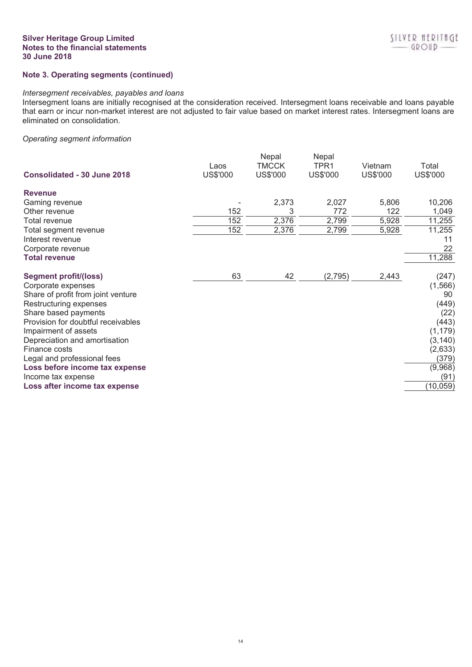# **Silver Heritage Group Limited Notes to the financial statements 30 June 2018**

# **Note 3. Operating segments (continued)**

## *Intersegment receivables, payables and loans*

Intersegment loans are initially recognised at the consideration received. Intersegment loans receivable and loans payable that earn or incur non-market interest are not adjusted to fair value based on market interest rates. Intersegment loans are eliminated on consolidation.

# *Operating segment information*

| Consolidated - 30 June 2018        | Laos<br>US\$'000 | Nepal<br>TMCCK<br>US\$'000 | Nepal<br>TPR1<br>US\$'000 | Vietnam<br>US\$'000 | Total<br>US\$'000 |
|------------------------------------|------------------|----------------------------|---------------------------|---------------------|-------------------|
| <b>Revenue</b>                     |                  |                            |                           |                     |                   |
| Gaming revenue                     |                  | 2,373                      | 2,027                     | 5,806               | 10,206            |
| Other revenue                      | 152              | 3                          | 772                       | 122                 | 1,049             |
| Total revenue                      | 152              | 2,376                      | 2,799                     | 5,928               | 11,255            |
| Total segment revenue              | 152              | 2,376                      | 2,799                     | 5,928               | 11,255            |
| Interest revenue                   |                  |                            |                           |                     | 11                |
| Corporate revenue                  |                  |                            |                           |                     | 22                |
| <b>Total revenue</b>               |                  |                            |                           |                     | 11,288            |
| <b>Segment profit/(loss)</b>       | 63               | 42                         | (2,795)                   | 2,443               | (247)             |
| Corporate expenses                 |                  |                            |                           |                     | (1, 566)          |
| Share of profit from joint venture |                  |                            |                           |                     | 90                |
| Restructuring expenses             |                  |                            |                           |                     | (449)             |
| Share based payments               |                  |                            |                           |                     | (22)              |
| Provision for doubtful receivables |                  |                            |                           |                     | (443)             |
| Impairment of assets               |                  |                            |                           |                     | (1, 179)          |
| Depreciation and amortisation      |                  |                            |                           |                     | (3, 140)          |
| Finance costs                      |                  |                            |                           |                     | (2,633)           |
| Legal and professional fees        |                  |                            |                           |                     | (379)             |
| Loss before income tax expense     |                  |                            |                           |                     | (9,968)           |
| Income tax expense                 |                  |                            |                           |                     | (91)              |
| Loss after income tax expense      |                  |                            |                           |                     | (10, 059)         |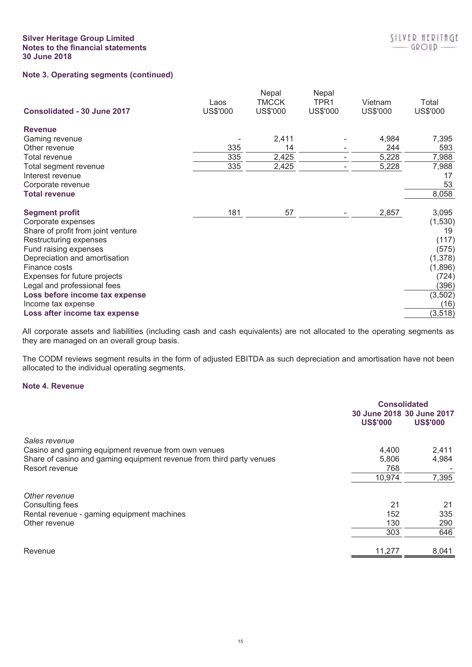# **Silver Heritage Group Limited Notes to the financial statements 30 June 2018**

| Consolidated - 30 June 2017        | Laos<br>US\$'000 | Nepal<br>TMCCK<br><b>US\$'000</b> | Nepal<br>TPR1<br><b>US\$'000</b> | Vietnam<br>US\$'000 | Total<br>US\$'000 |
|------------------------------------|------------------|-----------------------------------|----------------------------------|---------------------|-------------------|
| <b>Revenue</b>                     |                  |                                   |                                  |                     |                   |
| Gaming revenue                     |                  | 2,411                             |                                  | 4,984               | 7,395             |
| Other revenue                      | 335              | 14                                |                                  | 244                 | 593               |
| Total revenue                      | 335              | 2,425                             |                                  | 5,228               | 7,988             |
| Total segment revenue              | 335              | 2,425                             |                                  | 5,228               | 7,988             |
| Interest revenue                   |                  |                                   |                                  |                     | 17                |
| Corporate revenue                  |                  |                                   |                                  |                     | 53                |
| <b>Total revenue</b>               |                  |                                   |                                  |                     | 8,058             |
| <b>Segment profit</b>              | 181              | 57                                |                                  | 2,857               | 3,095             |
| Corporate expenses                 |                  |                                   |                                  |                     | (1, 530)          |
| Share of profit from joint venture |                  |                                   |                                  |                     | 19                |
| Restructuring expenses             |                  |                                   |                                  |                     | (117)             |
| Fund raising expenses              |                  |                                   |                                  |                     | (575)             |
| Depreciation and amortisation      |                  |                                   |                                  |                     | (1, 378)          |
| Finance costs                      |                  |                                   |                                  |                     | (1,896)           |
| Expenses for future projects       |                  |                                   |                                  |                     | (724)             |
| Legal and professional fees        |                  |                                   |                                  |                     | (396)             |
| Loss before income tax expense     |                  |                                   |                                  |                     | (3, 502)          |
| Income tax expense                 |                  |                                   |                                  |                     | (16)              |
| Loss after income tax expense      |                  |                                   |                                  |                     | (3, 518)          |

All corporate assets and liabilities (including cash and cash equivalents) are not allocated to the operating segments as they are managed on an overall group basis.

The CODM reviews segment results in the form of adjusted EBITDA as such depreciation and amortisation have not been allocated to the individual operating segments.

# **Note 4. Revenue**

| 30 June 2018 30 June 2017<br><b>US\$'000</b><br>4,400<br>5,806<br>768<br>10,974 | <b>US\$'000</b><br>2,411<br>4,984<br>7,395 |
|---------------------------------------------------------------------------------|--------------------------------------------|
|                                                                                 |                                            |
|                                                                                 |                                            |
|                                                                                 |                                            |
|                                                                                 |                                            |
|                                                                                 |                                            |
|                                                                                 |                                            |
|                                                                                 |                                            |
|                                                                                 |                                            |
| 21                                                                              | 21                                         |
| 152                                                                             | 335                                        |
| 130                                                                             | 290                                        |
| 303                                                                             | 646                                        |
|                                                                                 | 8,041                                      |
|                                                                                 | 11,277                                     |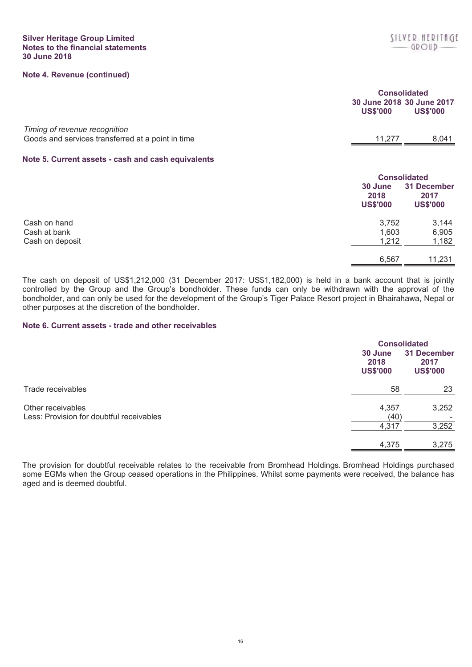|                                                                                    | <b>Consolidated</b><br>30 June 2018 30 June 2017<br><b>US\$'000</b> | <b>US\$'000</b>                        |
|------------------------------------------------------------------------------------|---------------------------------------------------------------------|----------------------------------------|
| Timing of revenue recognition<br>Goods and services transferred at a point in time | 11,277                                                              | 8,041                                  |
| Note 5. Current assets - cash and cash equivalents                                 |                                                                     |                                        |
|                                                                                    | <b>Consolidated</b>                                                 |                                        |
|                                                                                    | 30 June<br>2018<br><b>US\$'000</b>                                  | 31 December<br>2017<br><b>US\$'000</b> |
| Cash on hand                                                                       | 3,752                                                               | 3.144                                  |

| Cash on deposit | 1.212<br>ے اے ، | ,182   |
|-----------------|-----------------|--------|
|                 | 6,567           | 11,231 |
|                 |                 |        |

Cash at bank 1,603 6,905

The cash on deposit of US\$1,212,000 (31 December 2017: US\$1,182,000) is held in a bank account that is jointly controlled by the Group and the Group's bondholder. These funds can only be withdrawn with the approval of the bondholder, and can only be used for the development of the Group's Tiger Palace Resort project in Bhairahawa, Nepal or other purposes at the discretion of the bondholder.

# **Note 6. Current assets - trade and other receivables**

|                                                               |                                    | <b>Consolidated</b>                    |  |
|---------------------------------------------------------------|------------------------------------|----------------------------------------|--|
|                                                               | 30 June<br>2018<br><b>US\$'000</b> | 31 December<br>2017<br><b>US\$'000</b> |  |
| Trade receivables                                             | 58                                 | 23                                     |  |
| Other receivables<br>Less: Provision for doubtful receivables | 4,357<br>(40)                      | 3,252                                  |  |
|                                                               | 4,317                              | 3,252                                  |  |
|                                                               | 4,375                              | 3,275                                  |  |

The provision for doubtful receivable relates to the receivable from Bromhead Holdings. Bromhead Holdings purchased some EGMs when the Group ceased operations in the Philippines. Whilst some payments were received, the balance has aged and is deemed doubtful.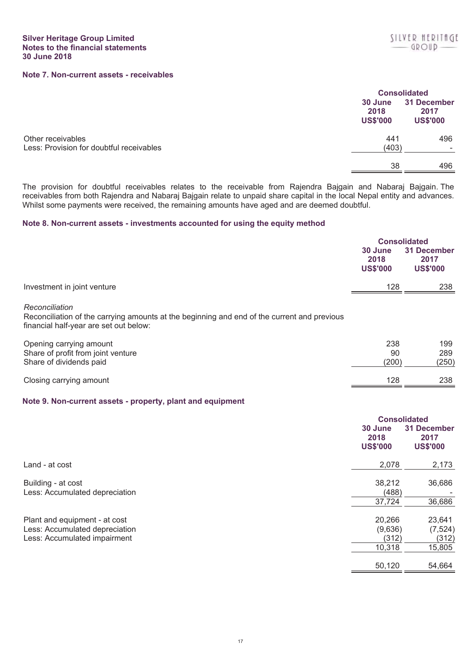|                                                               |                                    | <b>Consolidated</b>                    |  |
|---------------------------------------------------------------|------------------------------------|----------------------------------------|--|
|                                                               | 30 June<br>2018<br><b>US\$'000</b> | 31 December<br>2017<br><b>US\$'000</b> |  |
| Other receivables<br>Less: Provision for doubtful receivables | 441<br>(403)                       | 496                                    |  |
|                                                               | 38                                 | 496                                    |  |

The provision for doubtful receivables relates to the receivable from Rajendra Bajgain and Nabaraj Bajgain. The receivables from both Rajendra and Nabaraj Bajgain relate to unpaid share capital in the local Nepal entity and advances. Whilst some payments were received, the remaining amounts have aged and are deemed doubtful.

# **Note 8. Non-current assets - investments accounted for using the equity method**

|                             | <b>Consolidated</b> |                 |
|-----------------------------|---------------------|-----------------|
|                             | 30 June             | 31 December     |
|                             | 2018                | 2017            |
|                             | <b>US\$'000</b>     | <b>US\$'000</b> |
| Investment in joint venture | 128                 | 238             |

### *Reconciliation*

Reconciliation of the carrying amounts at the beginning and end of the current and previous financial half-year are set out below:

| Opening carrying amount            | 238   | 199   |
|------------------------------------|-------|-------|
| Share of profit from joint venture | 90    | 289   |
| Share of dividends paid            | (200) | (250) |
| Closing carrying amount            | 128   | 238   |

# **Note 9. Non-current assets - property, plant and equipment**

|                                                                 | 30 June<br>2018<br><b>US\$'000</b> | <b>Consolidated</b><br>31 December<br>2017<br><b>US\$'000</b> |
|-----------------------------------------------------------------|------------------------------------|---------------------------------------------------------------|
| Land - at cost                                                  | 2,078                              | 2,173                                                         |
| Building - at cost<br>Less: Accumulated depreciation            | 38,212<br>(488)<br>37,724          | 36,686<br>36,686                                              |
| Plant and equipment - at cost<br>Less: Accumulated depreciation | 20,266<br>(9,636)                  | 23,641<br>(7, 524)                                            |
| Less: Accumulated impairment                                    | (312)<br>10,318                    | (312)<br>15,805                                               |
|                                                                 | 50,120                             | 54,664                                                        |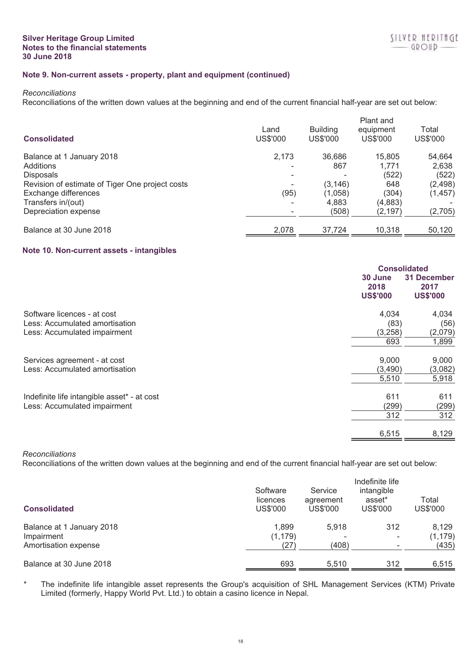# **Note 9. Non-current assets - property, plant and equipment (continued)**

#### *Reconciliations*

Reconciliations of the written down values at the beginning and end of the current financial half-year are set out below:

| <b>Consolidated</b>                             | Land<br>US\$'000 | <b>Building</b><br>US\$'000 | Plant and<br>equipment<br>US\$'000 | Total<br>US\$'000 |
|-------------------------------------------------|------------------|-----------------------------|------------------------------------|-------------------|
| Balance at 1 January 2018                       | 2,173            | 36.686                      | 15,805                             | 54,664            |
| Additions                                       |                  | 867                         | 1,771                              | 2,638             |
| <b>Disposals</b>                                |                  |                             | (522)                              | (522)             |
| Revision of estimate of Tiger One project costs |                  | (3, 146)                    | 648                                | (2, 498)          |
| Exchange differences                            | (95)             | (1,058)                     | (304)                              | (1, 457)          |
| Transfers in/(out)                              | -                | 4.883                       | (4,883)                            |                   |
| Depreciation expense                            |                  | (508)                       | (2, 197)                           | (2,705)           |
| Balance at 30 June 2018                         | 2,078            | 37,724                      | 10,318                             | 50,120            |

# **Note 10. Non-current assets - intangibles**

| <b>Consolidated</b>                |                                        |
|------------------------------------|----------------------------------------|
| 30 June<br>2018<br><b>US\$'000</b> | 31 December<br>2017<br><b>US\$'000</b> |
| 4,034                              | 4,034                                  |
| (83)                               | (56)                                   |
|                                    | (2,079)                                |
| 693                                | 1,899                                  |
| 9,000                              | 9,000                                  |
|                                    | (3,082)                                |
| 5,510                              | 5,918                                  |
| 611                                | 611                                    |
|                                    | (299)                                  |
| 312                                | 312                                    |
| 6,515                              | 8,129                                  |
|                                    | (3,258)<br>(3,490)<br>(299)            |

# *Reconciliations*

Reconciliations of the written down values at the beginning and end of the current financial half-year are set out below:

| <b>Consolidated</b>       | Software<br>licences<br><b>US\$'000</b> | Service<br>agreement<br>US\$'000 | Indefinite life<br>intangible<br>asset*<br>US\$'000 | Total<br><b>US\$'000</b> |
|---------------------------|-----------------------------------------|----------------------------------|-----------------------------------------------------|--------------------------|
| Balance at 1 January 2018 | 1,899                                   | 5.918                            | 312                                                 | 8.129                    |
| Impairment                | (1, 179)                                |                                  |                                                     | (1, 179)                 |
| Amortisation expense      | (27)                                    | (408)                            |                                                     | (435)                    |
| Balance at 30 June 2018   | 693                                     | 5.510                            | 312                                                 | 6,515                    |

\* The indefinite life intangible asset represents the Group's acquisition of SHL Management Services (KTM) Private Limited (formerly, Happy World Pvt. Ltd.) to obtain a casino licence in Nepal.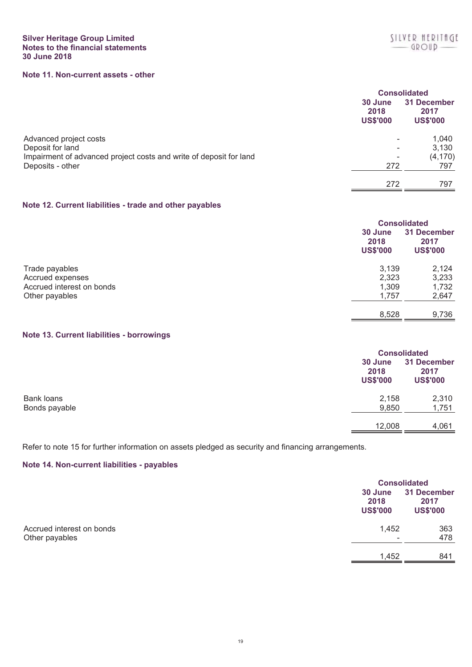# **Silver Heritage Group Limited Notes to the financial statements 30 June 2018**

# **Note 11. Non-current assets - other**

|                                                                    | 30 June<br>2018<br><b>US\$'000</b> | <b>Consolidated</b><br><b>31 December</b><br>2017<br><b>US\$'000</b> |
|--------------------------------------------------------------------|------------------------------------|----------------------------------------------------------------------|
| Advanced project costs                                             | $\sim$                             | 1,040                                                                |
| Deposit for land                                                   | ۰                                  | 3,130                                                                |
| Impairment of advanced project costs and write of deposit for land | $\overline{\phantom{a}}$           | (4, 170)                                                             |
| Deposits - other                                                   | 272                                | 797                                                                  |
|                                                                    | 272                                | 797                                                                  |

# **Note 12. Current liabilities - trade and other payables**

|                           | 30 June<br>2018<br><b>US\$'000</b> | <b>Consolidated</b><br>31 December<br>2017<br><b>US\$'000</b> |
|---------------------------|------------------------------------|---------------------------------------------------------------|
| Trade payables            | 3,139                              | 2,124                                                         |
| Accrued expenses          | 2,323                              | 3,233                                                         |
| Accrued interest on bonds | 1,309                              | 1,732                                                         |
| Other payables            | 1,757                              | 2,647                                                         |
|                           | 8,528                              | 9,736                                                         |

# **Note 13. Current liabilities - borrowings**

|                                    | <b>Consolidated</b><br>30 June<br>2018<br><b>US\$'000</b> | 31 December<br>2017<br><b>US\$'000</b> |
|------------------------------------|-----------------------------------------------------------|----------------------------------------|
| <b>Bank loans</b><br>Bonds payable | 2,158<br>9,850                                            | 2,310<br>1,751                         |
|                                    | 12,008                                                    | 4,061                                  |

Refer to note 15 for further information on assets pledged as security and financing arrangements.

# **Note 14. Non-current liabilities - payables**

|                                             |                                    | <b>Consolidated</b>                    |  |
|---------------------------------------------|------------------------------------|----------------------------------------|--|
|                                             | 30 June<br>2018<br><b>US\$'000</b> | 31 December<br>2017<br><b>US\$'000</b> |  |
| Accrued interest on bonds<br>Other payables | 1,452<br>$\overline{\phantom{a}}$  | 363<br>478                             |  |
|                                             | 1,452                              | 841                                    |  |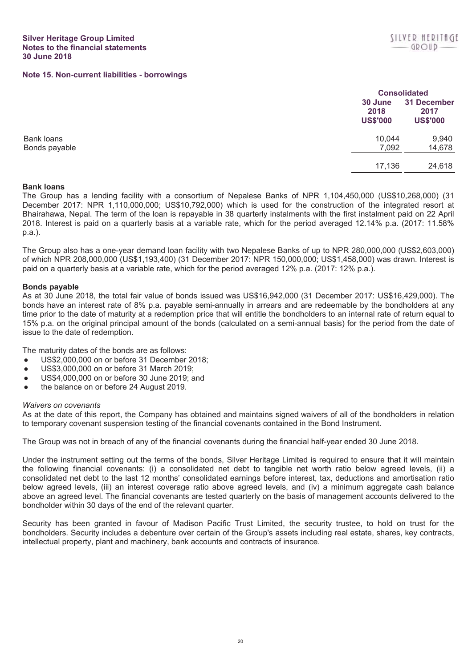**Consolidated**

## **Note 15. Non-current liabilities - borrowings**

|               |                                    | <b>Consolidated</b>                    |  |
|---------------|------------------------------------|----------------------------------------|--|
|               | 30 June<br>2018<br><b>US\$'000</b> | 31 December<br>2017<br><b>US\$'000</b> |  |
| Bank loans    | 10,044                             | 9,940                                  |  |
| Bonds payable | 7,092                              | 14,678                                 |  |
|               | 17,136                             | 24,618                                 |  |

## **Bank loans**

The Group has a lending facility with a consortium of Nepalese Banks of NPR 1,104,450,000 (US\$10,268,000) (31 December 2017: NPR 1,110,000,000; US\$10,792,000) which is used for the construction of the integrated resort at Bhairahawa, Nepal. The term of the loan is repayable in 38 quarterly instalments with the first instalment paid on 22 April 2018. Interest is paid on a quarterly basis at a variable rate, which for the period averaged 12.14% p.a. (2017: 11.58% p.a.).

The Group also has a one-year demand loan facility with two Nepalese Banks of up to NPR 280,000,000 (US\$2,603,000) of which NPR 208,000,000 (US\$1,193,400) (31 December 2017: NPR 150,000,000; US\$1,458,000) was drawn. Interest is paid on a quarterly basis at a variable rate, which for the period averaged 12% p.a. (2017: 12% p.a.).

## **Bonds payable**

As at 30 June 2018, the total fair value of bonds issued was US\$16,942,000 (31 December 2017: US\$16,429,000). The bonds have an interest rate of 8% p.a. payable semi-annually in arrears and are redeemable by the bondholders at any time prior to the date of maturity at a redemption price that will entitle the bondholders to an internal rate of return equal to 15% p.a. on the original principal amount of the bonds (calculated on a semi-annual basis) for the period from the date of issue to the date of redemption.

The maturity dates of the bonds are as follows:

- US\$2,000,000 on or before 31 December 2018;
- US\$3,000,000 on or before 31 March 2019;
- US\$4,000,000 on or before 30 June 2019; and
- the balance on or before 24 August 2019.

## *Waivers on covenants*

As at the date of this report, the Company has obtained and maintains signed waivers of all of the bondholders in relation to temporary covenant suspension testing of the financial covenants contained in the Bond Instrument.

The Group was not in breach of any of the financial covenants during the financial half-year ended 30 June 2018.

Under the instrument setting out the terms of the bonds, Silver Heritage Limited is required to ensure that it will maintain the following financial covenants: (i) a consolidated net debt to tangible net worth ratio below agreed levels, (ii) a consolidated net debt to the last 12 months' consolidated earnings before interest, tax, deductions and amortisation ratio below agreed levels, (iii) an interest coverage ratio above agreed levels, and (iv) a minimum aggregate cash balance above an agreed level. The financial covenants are tested quarterly on the basis of management accounts delivered to the bondholder within 30 days of the end of the relevant quarter.

Security has been granted in favour of Madison Pacific Trust Limited, the security trustee, to hold on trust for the bondholders. Security includes a debenture over certain of the Group's assets including real estate, shares, key contracts, intellectual property, plant and machinery, bank accounts and contracts of insurance.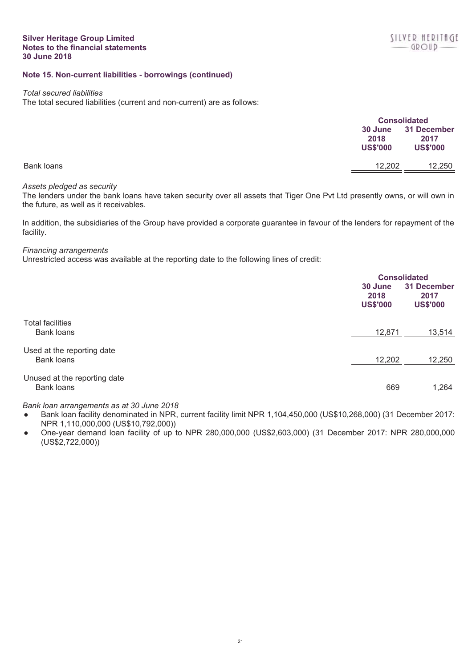# **Note 15. Non-current liabilities - borrowings (continued)**

#### *Total secured liabilities*

The total secured liabilities (current and non-current) are as follows:

|            | <b>Consolidated</b>                |                                        |
|------------|------------------------------------|----------------------------------------|
|            | 30 June<br>2018<br><b>US\$'000</b> | 31 December<br>2017<br><b>US\$'000</b> |
| Bank loans | 12,202                             | 12,250                                 |

## *Assets pledged as security*

The lenders under the bank loans have taken security over all assets that Tiger One Pvt Ltd presently owns, or will own in the future, as well as it receivables.

In addition, the subsidiaries of the Group have provided a corporate guarantee in favour of the lenders for repayment of the facility.

## *Financing arrangements*

Unrestricted access was available at the reporting date to the following lines of credit:

|                              | <b>Consolidated</b>                |                                        |
|------------------------------|------------------------------------|----------------------------------------|
|                              | 30 June<br>2018<br><b>US\$'000</b> | 31 December<br>2017<br><b>US\$'000</b> |
| <b>Total facilities</b>      |                                    |                                        |
| Bank loans                   | 12,871                             | 13,514                                 |
| Used at the reporting date   |                                    |                                        |
| Bank loans                   | 12,202                             | 12,250                                 |
| Unused at the reporting date |                                    |                                        |
| <b>Bank loans</b>            | 669                                | 1,264                                  |

# *Bank loan arrangements as at 30 June 2018*

- Bank loan facility denominated in NPR, current facility limit NPR 1,104,450,000 (US\$10,268,000) (31 December 2017: NPR 1,110,000,000 (US\$10,792,000))
- One-year demand loan facility of up to NPR 280,000,000 (US\$2,603,000) (31 December 2017: NPR 280,000,000 (US\$2,722,000))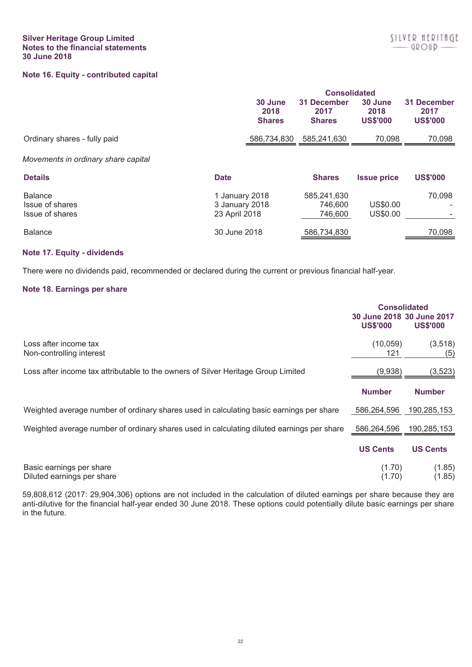# **Note 16. Equity - contributed capital**

|                                                      |                                                   | 30 June<br>2018<br><b>Shares</b> | <b>Consolidated</b><br>31 December<br>2017<br><b>Shares</b> | 30 June<br>2018<br><b>US\$'000</b> | 31 December<br>2017<br><b>US\$'000</b> |
|------------------------------------------------------|---------------------------------------------------|----------------------------------|-------------------------------------------------------------|------------------------------------|----------------------------------------|
| Ordinary shares - fully paid                         |                                                   | 586,734,830                      | 585,241,630                                                 | 70,098                             | 70,098                                 |
| Movements in ordinary share capital                  |                                                   |                                  |                                                             |                                    |                                        |
| <b>Details</b>                                       | <b>Date</b>                                       |                                  | <b>Shares</b>                                               | <b>Issue price</b>                 | <b>US\$'000</b>                        |
| <b>Balance</b><br>Issue of shares<br>Issue of shares | 1 January 2018<br>3 January 2018<br>23 April 2018 |                                  | 585,241,630<br>746.600<br>746,600                           | US\$0.00<br>US\$0.00               | 70,098                                 |
| <b>Balance</b>                                       | 30 June 2018                                      |                                  | 586,734,830                                                 |                                    | 70,098                                 |

# **Note 17. Equity - dividends**

There were no dividends paid, recommended or declared during the current or previous financial half-year.

## **Note 18. Earnings per share**

|                                                                                           | <b>Consolidated</b><br>30 June 2018 30 June 2017<br><b>US\$'000</b> | <b>US\$'000</b>  |
|-------------------------------------------------------------------------------------------|---------------------------------------------------------------------|------------------|
| Loss after income tax<br>Non-controlling interest                                         | (10, 059)<br>121                                                    | (3,518)<br>(5)   |
| Loss after income tax attributable to the owners of Silver Heritage Group Limited         | (9,938)                                                             | (3, 523)         |
|                                                                                           | <b>Number</b>                                                       | <b>Number</b>    |
| Weighted average number of ordinary shares used in calculating basic earnings per share   | 586,264,596                                                         | 190,285,153      |
| Weighted average number of ordinary shares used in calculating diluted earnings per share | 586,264,596                                                         | 190,285,153      |
|                                                                                           | <b>US Cents</b>                                                     | <b>US Cents</b>  |
| Basic earnings per share<br>Diluted earnings per share                                    | (1.70)<br>(1.70)                                                    | (1.85)<br>(1.85) |

59,808,612 (2017: 29,904,306) options are not included in the calculation of diluted earnings per share because they are anti-dilutive for the financial half-year ended 30 June 2018. These options could potentially dilute basic earnings per share in the future.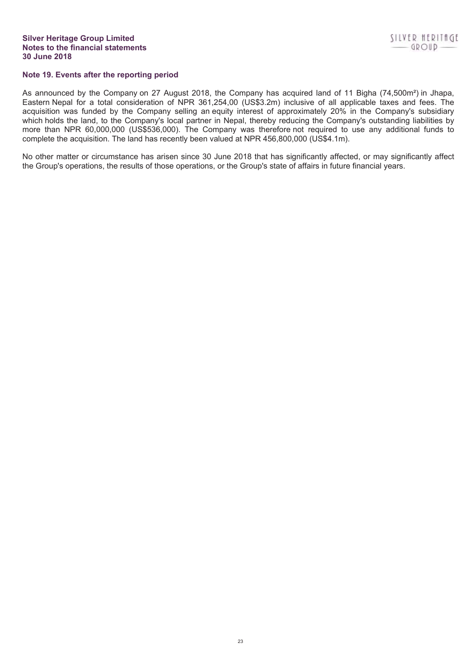# **Note 19. Events after the reporting period**

As announced by the Company on 27 August 2018, the Company has acquired land of 11 Bigha (74,500m²) in Jhapa, Eastern Nepal for a total consideration of NPR 361,254,00 (US\$3.2m) inclusive of all applicable taxes and fees. The acquisition was funded by the Company selling an equity interest of approximately 20% in the Company's subsidiary which holds the land, to the Company's local partner in Nepal, thereby reducing the Company's outstanding liabilities by more than NPR 60,000,000 (US\$536,000). The Company was therefore not required to use any additional funds to complete the acquisition. The land has recently been valued at NPR 456,800,000 (US\$4.1m).

No other matter or circumstance has arisen since 30 June 2018 that has significantly affected, or may significantly affect the Group's operations, the results of those operations, or the Group's state of affairs in future financial years.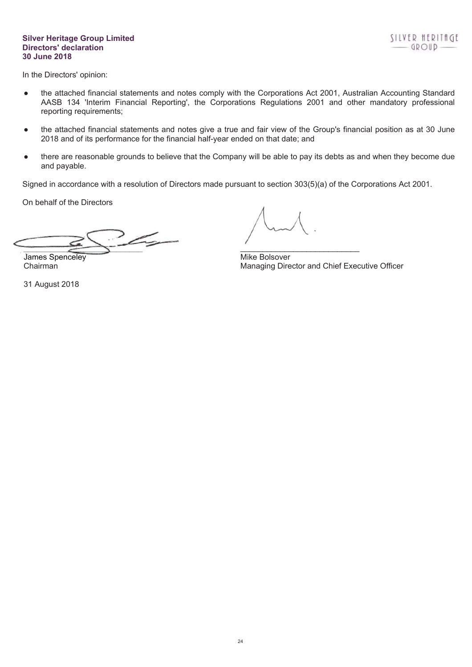## **Silver Heritage Group Limited Directors' declaration 30 June 2018**

In the Directors' opinion:

- the attached financial statements and notes comply with the Corporations Act 2001, Australian Accounting Standard AASB 134 'Interim Financial Reporting', the Corporations Regulations 2001 and other mandatory professional reporting requirements;
- the attached financial statements and notes give a true and fair view of the Group's financial position as at 30 June 2018 and of its performance for the financial half-year ended on that date; and
- there are reasonable grounds to believe that the Company will be able to pay its debts as and when they become due and payable.

Signed in accordance with a resolution of Directors made pursuant to section 303(5)(a) of the Corporations Act 2001.

On behalf of the Directors

 $\overline{\phantom{a}}$ \_\_\_\_\_\_\_\_\_\_\_\_\_\_\_\_\_\_\_\_\_\_\_\_\_\_\_

James Spenceley **Mike Bolsover** Mike Bolsover

31 August 2018

Chairman Managing Director and Chief Executive Officer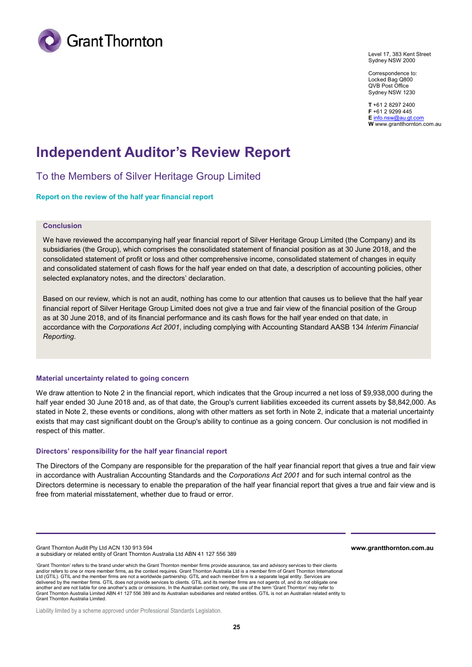

Level 17, 383 Kent Street Sydney NSW 2000

Correspondence to: Locked Bag Q800 QVB Post Office Sydney NSW 1230

**T** +61 2 8297 2400 **F** +61 2 9299 445 **E** info.nsw@au.gt.com **W** www.grantthornton.com.au

# **Independent Auditor's Review Report**

To the Members of Silver Heritage Group Limited

## **Report on the review of the half year financial report**

## **Conclusion**

We have reviewed the accompanying half year financial report of Silver Heritage Group Limited (the Company) and its subsidiaries (the Group), which comprises the consolidated statement of financial position as at 30 June 2018, and the consolidated statement of profit or loss and other comprehensive income, consolidated statement of changes in equity and consolidated statement of cash flows for the half year ended on that date, a description of accounting policies, other selected explanatory notes, and the directors' declaration.

Based on our review, which is not an audit, nothing has come to our attention that causes us to believe that the half year financial report of Silver Heritage Group Limited does not give a true and fair view of the financial position of the Group as at 30 June 2018, and of its financial performance and its cash flows for the half year ended on that date, in accordance with the *Corporations Act 2001*, including complying with Accounting Standard AASB 134 *Interim Financial Reporting*.

#### **Material uncertainty related to going concern**

We draw attention to Note 2 in the financial report, which indicates that the Group incurred a net loss of \$9,938,000 during the half year ended 30 June 2018 and, as of that date, the Group's current liabilities exceeded its current assets by \$8,842,000. As stated in Note 2, these events or conditions, along with other matters as set forth in Note 2, indicate that a material uncertainty exists that may cast significant doubt on the Group's ability to continue as a going concern. Our conclusion is not modified in respect of this matter.

#### **Directors' responsibility for the half year financial report**

The Directors of the Company are responsible for the preparation of the half year financial report that gives a true and fair view in accordance with Australian Accounting Standards and the *Corporations Act 2001* and for such internal control as the Directors determine is necessary to enable the preparation of the half year financial report that gives a true and fair view and is free from material misstatement, whether due to fraud or error.

Grant Thornton Audit Pty Ltd ACN 130 913 594 a subsidiary or related entity of Grant Thornton Australia Ltd ABN 41 127 556 389 **www.grantthornton.com.au**

'Grant Thornton' refers to the brand under which the Grant Thornton member firms provide assurance, tax and advisory services to their clients and/or refers to one or more member firms, as the context requires. Grant Thornton Australia Ltd is a member firm of Grant Thornton International Ltd (GTIL). GTIL and the member firms are not a worldwide partnership. GTIL and each member firm is a separate legal entity. Services are delivered by the member firms. GTIL does not provide services to clients. GTIL and its member firms are not agents of, and do not obligate one another and are not liable for one another's acts or omissions. In the Australian context only, the use of the term 'Grant Thornton' may refer to<br>Grant Thornton Australia Limited ABN 41 127 556 389 and its Australian subsi Grant Thornton Australia Limited.

Liability limited by a scheme approved under Professional Standards Legislation.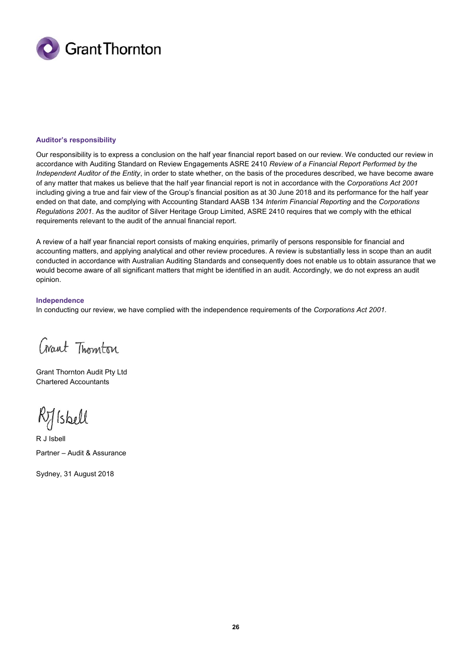

## **Auditor's responsibility**

Our responsibility is to express a conclusion on the half year financial report based on our review. We conducted our review in accordance with Auditing Standard on Review Engagements ASRE 2410 *Review of a Financial Report Performed by the Independent Auditor of the Entity*, in order to state whether, on the basis of the procedures described, we have become aware of any matter that makes us believe that the half year financial report is not in accordance with the *Corporations Act 2001*  including giving a true and fair view of the Group's financial position as at 30 June 2018 and its performance for the half year ended on that date, and complying with Accounting Standard AASB 134 *Interim Financial Reporting* and the *Corporations Regulations 2001*. As the auditor of Silver Heritage Group Limited, ASRE 2410 requires that we comply with the ethical requirements relevant to the audit of the annual financial report.

A review of a half year financial report consists of making enquiries, primarily of persons responsible for financial and accounting matters, and applying analytical and other review procedures. A review is substantially less in scope than an audit conducted in accordance with Australian Auditing Standards and consequently does not enable us to obtain assurance that we would become aware of all significant matters that might be identified in an audit. Accordingly, we do not express an audit opinion.

## **Independence**

In conducting our review, we have complied with the independence requirements of the *Corporations Act 2001.* 

Crant Thomton

Grant Thornton Audit Pty Ltd Chartered Accountants

Rilsbell

R J Isbell Partner – Audit & Assurance

Sydney, 31 August 2018